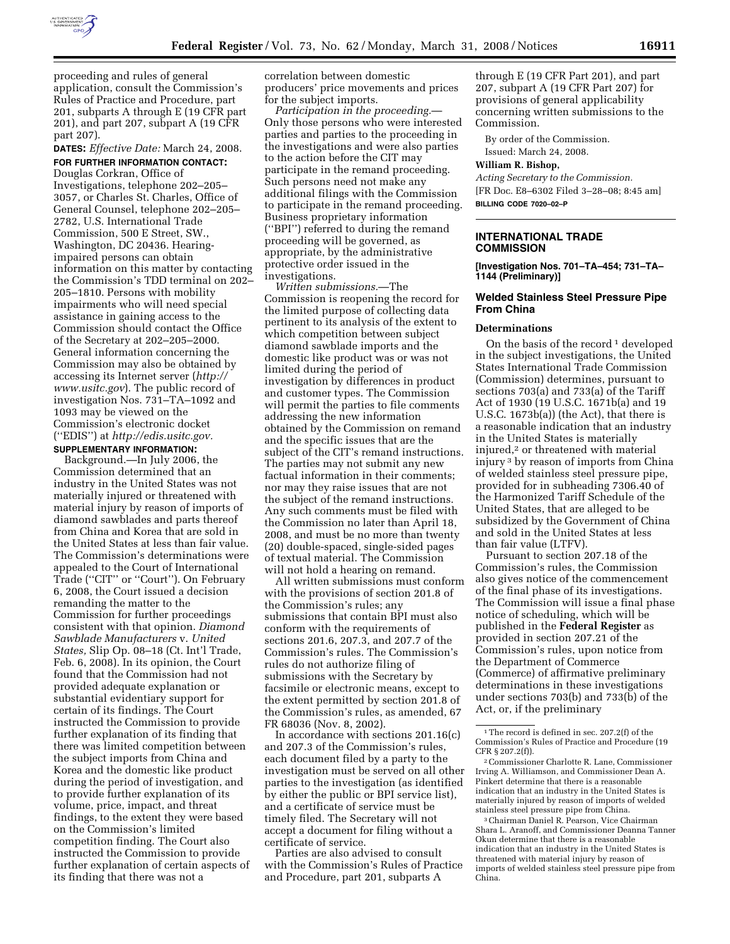

proceeding and rules of general application, consult the Commission's Rules of Practice and Procedure, part 201, subparts A through E (19 CFR part 201), and part 207, subpart A (19 CFR part 207).

**DATES:** *Effective Date:* March 24, 2008. **FOR FURTHER INFORMATION CONTACT:** 

Douglas Corkran, Office of Investigations, telephone 202–205– 3057, or Charles St. Charles, Office of General Counsel, telephone 202–205– 2782, U.S. International Trade Commission, 500 E Street, SW., Washington, DC 20436. Hearingimpaired persons can obtain information on this matter by contacting the Commission's TDD terminal on 202– 205–1810. Persons with mobility impairments who will need special assistance in gaining access to the Commission should contact the Office of the Secretary at 202–205–2000. General information concerning the Commission may also be obtained by accessing its Internet server (*http:// www.usitc.gov*). The public record of investigation Nos. 731–TA–1092 and 1093 may be viewed on the Commission's electronic docket (''EDIS'') at *http://edis.usitc.gov.* 

## **SUPPLEMENTARY INFORMATION:**

Background.—In July 2006, the Commission determined that an industry in the United States was not materially injured or threatened with material injury by reason of imports of diamond sawblades and parts thereof from China and Korea that are sold in the United States at less than fair value. The Commission's determinations were appealed to the Court of International Trade (''CIT'' or ''Court''). On February 6, 2008, the Court issued a decision remanding the matter to the Commission for further proceedings consistent with that opinion. *Diamond Sawblade Manufacturers* v. *United States,* Slip Op. 08–18 (Ct. Int'l Trade, Feb. 6, 2008). In its opinion, the Court found that the Commission had not provided adequate explanation or substantial evidentiary support for certain of its findings. The Court instructed the Commission to provide further explanation of its finding that there was limited competition between the subject imports from China and Korea and the domestic like product during the period of investigation, and to provide further explanation of its volume, price, impact, and threat findings, to the extent they were based on the Commission's limited competition finding. The Court also instructed the Commission to provide further explanation of certain aspects of its finding that there was not a

correlation between domestic producers' price movements and prices for the subject imports.

*Participation in the proceeding.*— Only those persons who were interested parties and parties to the proceeding in the investigations and were also parties to the action before the CIT may participate in the remand proceeding. Such persons need not make any additional filings with the Commission to participate in the remand proceeding. Business proprietary information (''BPI'') referred to during the remand proceeding will be governed, as appropriate, by the administrative protective order issued in the investigations.

*Written submissions.*—The Commission is reopening the record for the limited purpose of collecting data pertinent to its analysis of the extent to which competition between subject diamond sawblade imports and the domestic like product was or was not limited during the period of investigation by differences in product and customer types. The Commission will permit the parties to file comments addressing the new information obtained by the Commission on remand and the specific issues that are the subject of the CIT's remand instructions. The parties may not submit any new factual information in their comments; nor may they raise issues that are not the subject of the remand instructions. Any such comments must be filed with the Commission no later than April 18, 2008, and must be no more than twenty (20) double-spaced, single-sided pages of textual material. The Commission will not hold a hearing on remand.

All written submissions must conform with the provisions of section 201.8 of the Commission's rules; any submissions that contain BPI must also conform with the requirements of sections 201.6, 207.3, and 207.7 of the Commission's rules. The Commission's rules do not authorize filing of submissions with the Secretary by facsimile or electronic means, except to the extent permitted by section 201.8 of the Commission's rules, as amended, 67 FR 68036 (Nov. 8, 2002).

In accordance with sections 201.16(c) and 207.3 of the Commission's rules, each document filed by a party to the investigation must be served on all other parties to the investigation (as identified by either the public or BPI service list), and a certificate of service must be timely filed. The Secretary will not accept a document for filing without a certificate of service.

Parties are also advised to consult with the Commission's Rules of Practice and Procedure, part 201, subparts A

through E (19 CFR Part 201), and part 207, subpart A (19 CFR Part 207) for provisions of general applicability concerning written submissions to the Commission.

By order of the Commission.

Issued: March 24, 2008.

### **William R. Bishop,**

*Acting Secretary to the Commission.*  [FR Doc. E8–6302 Filed 3–28–08; 8:45 am] **BILLING CODE 7020–02–P** 

## **INTERNATIONAL TRADE COMMISSION**

**[Investigation Nos. 701–TA–454; 731–TA– 1144 (Preliminary)]** 

## **Welded Stainless Steel Pressure Pipe From China**

## **Determinations**

On the basis of the record<sup>1</sup> developed in the subject investigations, the United States International Trade Commission (Commission) determines, pursuant to sections 703(a) and 733(a) of the Tariff Act of 1930 (19 U.S.C. 1671b(a) and 19 U.S.C. 1673b(a)) (the Act), that there is a reasonable indication that an industry in the United States is materially injured,2 or threatened with material injury 3 by reason of imports from China of welded stainless steel pressure pipe, provided for in subheading 7306.40 of the Harmonized Tariff Schedule of the United States, that are alleged to be subsidized by the Government of China and sold in the United States at less than fair value (LTFV).

Pursuant to section 207.18 of the Commission's rules, the Commission also gives notice of the commencement of the final phase of its investigations. The Commission will issue a final phase notice of scheduling, which will be published in the **Federal Register** as provided in section 207.21 of the Commission's rules, upon notice from the Department of Commerce (Commerce) of affirmative preliminary determinations in these investigations under sections 703(b) and 733(b) of the Act, or, if the preliminary

 $^{\rm 1}\!$  The record is defined in sec. 207.2(f) of the Commission's Rules of Practice and Procedure (19 CFR § 207.2(f)).

2Commissioner Charlotte R. Lane, Commissioner Irving A. Williamson, and Commissioner Dean A. Pinkert determine that there is a reasonable indication that an industry in the United States is materially injured by reason of imports of welded stainless steel pressure pipe from China.

3Chairman Daniel R. Pearson, Vice Chairman Shara L. Aranoff, and Commissioner Deanna Tanner Okun determine that there is a reasonable indication that an industry in the United States is threatened with material injury by reason of imports of welded stainless steel pressure pipe from China.